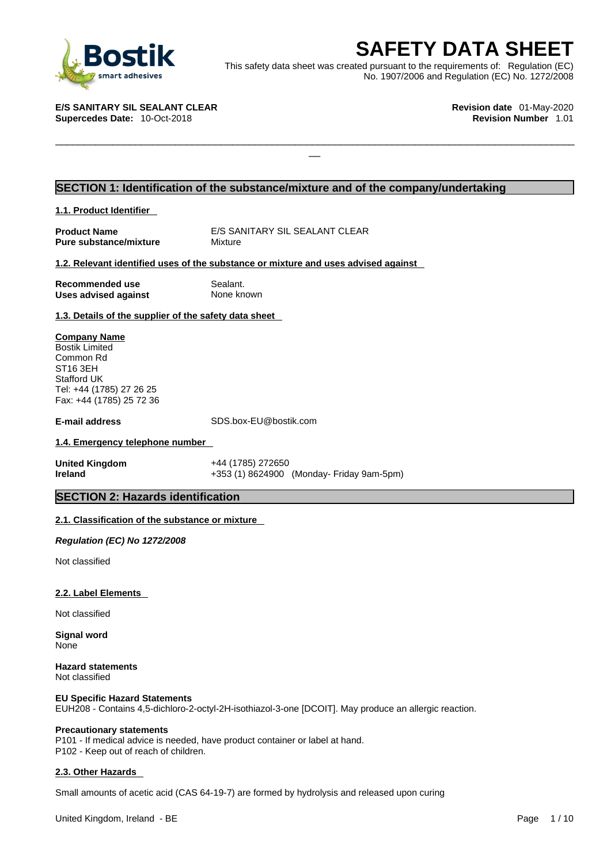

**SAFETY DATA SHEET**<br>
et was created pursuant to the requirements of: Regulation (EC)<br>
No. 1907/2006 and Regulation (EC) No. 1272/2008<br>
Revision date 01-May-2020<br>
Revision Number 1.01 This safety data sheet was created pursuant to the requirements of: Regulation (EC) No. 1907/2006 and Regulation (EC) No. 1272/2008

 $\Box$ 

**E/S SANITARY SIL SEALANT CLEAR Revision date** 01-May-2020 **Supercedes Date: 10-Oct-2018** 

## **SECTION 1: Identification of the substance/mixture and of the company/undertaking**

## **1.1. Product Identifier**

**Pure substance/mixture** Mixture

**Product Name** E/S SANITARY SIL SEALANT CLEAR

## **1.2. Relevant identified uses of the substance or mixture and uses advised against**

**Recommended use** Sealant. **Uses advised against** None known

## **1.3. Details of the supplier of the safety data sheet**

**Company Name** Bostik Limited Common Rd ST16 3EH Stafford UK Tel: +44 (1785) 27 26 25 Fax: +44 (1785) 25 72 36

**E-mail address** SDS.box-EU@bostik.com

## **1.4. Emergency telephone number**

**United Kingdom** +44 (1785) 272650 **Ireland** +353 (1) 8624900 (Monday- Friday 9am-5pm)

## **SECTION 2: Hazards identification**

## **2.1. Classification of the substance or mixture**

*Regulation (EC) No 1272/2008* 

Not classified

## **2.2. Label Elements**

Not classified

**Signal word** None

**Hazard statements** Not classified

## **EU Specific Hazard Statements**

EUH208 - Contains 4,5-dichloro-2-octyl-2H-isothiazol-3-one [DCOIT]. May produce an allergic reaction.

## **Precautionary statements**

P101 - If medical advice is needed, have product container or label at hand. P102 - Keep out of reach of children.

## **2.3. Other Hazards**

Small amounts of acetic acid (CAS 64-19-7) are formed by hydrolysis and released upon curing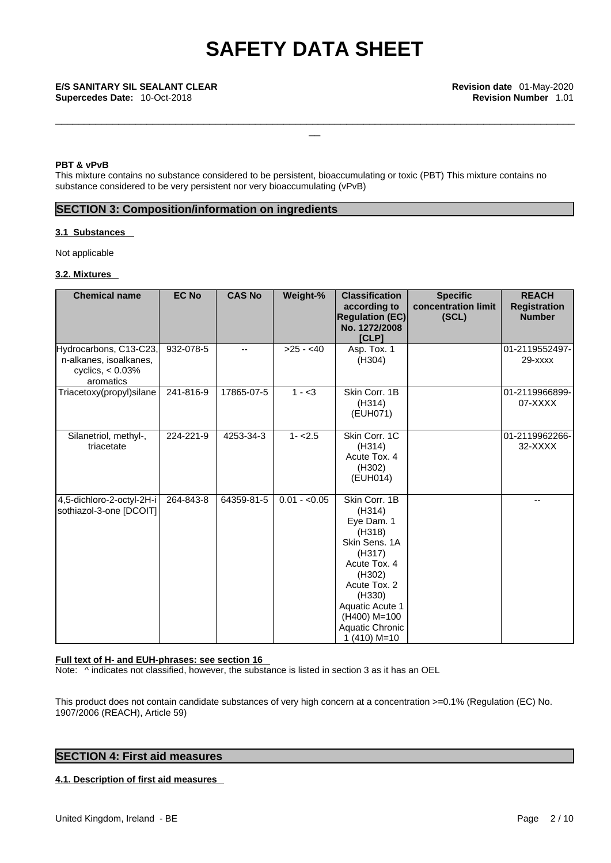\_\_\_\_\_\_\_\_\_\_\_\_\_\_\_\_\_\_\_\_\_\_\_\_\_\_\_\_\_\_\_\_\_\_\_\_\_\_\_\_\_\_\_\_\_\_\_\_\_\_\_\_\_\_\_\_\_\_\_\_\_\_\_\_\_\_\_\_\_\_\_\_\_\_\_\_\_\_\_\_\_\_\_\_\_\_\_\_\_\_\_

## **PBT & vPvB**

This mixture contains no substance considered to be persistent, bioaccumulating or toxic (PBT) This mixture contains no substance considered to be very persistent nor very bioaccumulating (vPvB)

## **SECTION 3: Composition/information on ingredients**

## **3.1 Substances**

Not applicable

## **3.2. Mixtures**

| <b>Chemical name</b>                                                                 | <b>EC No</b> | <b>CAS No</b> | Weight-%      | <b>Classification</b><br>according to<br><b>Regulation (EC)</b><br>No. 1272/2008<br>[CLP]                                                                                                             | <b>Specific</b><br>concentration limit<br>(SCL) | <b>REACH</b><br><b>Registration</b><br><b>Number</b> |
|--------------------------------------------------------------------------------------|--------------|---------------|---------------|-------------------------------------------------------------------------------------------------------------------------------------------------------------------------------------------------------|-------------------------------------------------|------------------------------------------------------|
| Hydrocarbons, C13-C23,<br>n-alkanes, isoalkanes,<br>cyclics, $< 0.03\%$<br>aromatics | 932-078-5    | --            | $>25 - 40$    | Asp. Tox. 1<br>(H304)                                                                                                                                                                                 |                                                 | 01-2119552497-<br>29-xxxx                            |
| Triacetoxy(propyl)silane                                                             | 241-816-9    | 17865-07-5    | $1 - 3$       | Skin Corr. 1B<br>(H314)<br>(EUH071)                                                                                                                                                                   |                                                 | 01-2119966899-<br>07-XXXX                            |
| Silanetriol, methyl-,<br>triacetate                                                  | 224-221-9    | 4253-34-3     | $1 - 2.5$     | Skin Corr. 1C<br>(H314)<br>Acute Tox. 4<br>(H302)<br>(EUH014)                                                                                                                                         |                                                 | 01-2119962266-<br>32-XXXX                            |
| 4,5-dichloro-2-octyl-2H-i<br>sothiazol-3-one [DCOIT]                                 | 264-843-8    | 64359-81-5    | $0.01 - 0.05$ | Skin Corr. 1B<br>(H314)<br>Eye Dam. 1<br>(H318)<br>Skin Sens, 1A<br>(H317)<br>Acute Tox. 4<br>(H302)<br>Acute Tox. 2<br>(H330)<br>Aquatic Acute 1<br>(H400) M=100<br>Aquatic Chronic<br>$1(410) M=10$ |                                                 | --                                                   |

## **Full text of H- and EUH-phrases: see section 16**

Note:  $\wedge$  indicates not classified, however, the substance is listed in section 3 as it has an OEL

This product does not contain candidate substances of very high concern at a concentration >=0.1% (Regulation (EC) No. 1907/2006 (REACH), Article 59)

## **SECTION 4: First aid measures**

## **4.1. Description of first aid measures**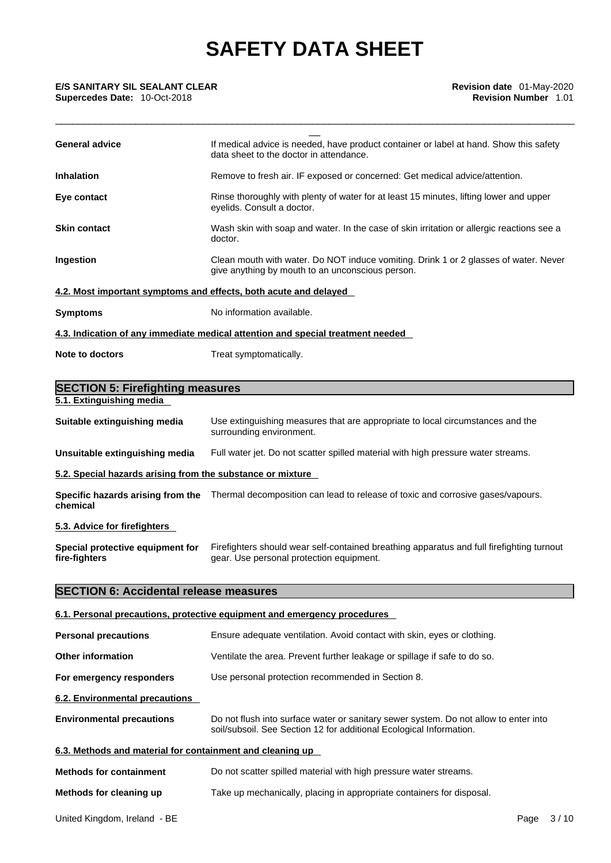| <b>E/S SANITARY SIL SEALANT CLEAR</b><br>Supercedes Date: 10-Oct-2018 | Revision date 01-May-2020<br><b>Revision Number 1.01</b>                                                                                                    |
|-----------------------------------------------------------------------|-------------------------------------------------------------------------------------------------------------------------------------------------------------|
| <b>General advice</b>                                                 | If medical advice is needed, have product container or label at hand. Show this safety<br>data sheet to the doctor in attendance.                           |
| <b>Inhalation</b>                                                     | Remove to fresh air. IF exposed or concerned: Get medical advice/attention.                                                                                 |
| Eye contact                                                           | Rinse thoroughly with plenty of water for at least 15 minutes, lifting lower and upper<br>eyelids. Consult a doctor.                                        |
| <b>Skin contact</b>                                                   | Wash skin with soap and water. In the case of skin irritation or allergic reactions see a<br>doctor.                                                        |
| Ingestion                                                             | Clean mouth with water. Do NOT induce vomiting. Drink 1 or 2 glasses of water. Never<br>give anything by mouth to an unconscious person.                    |
|                                                                       | 4.2. Most important symptoms and effects, both acute and delayed                                                                                            |
| <b>Symptoms</b>                                                       | No information available.                                                                                                                                   |
|                                                                       | 4.3. Indication of any immediate medical attention and special treatment needed                                                                             |
| <b>Note to doctors</b>                                                | Treat symptomatically.                                                                                                                                      |
| <b>SECTION 5: Firefighting measures</b>                               |                                                                                                                                                             |
| 5.1. Extinguishing media                                              |                                                                                                                                                             |
| Suitable extinguishing media                                          | Use extinguishing measures that are appropriate to local circumstances and the<br>surrounding environment.                                                  |
| Unsuitable extinguishing media                                        | Full water jet. Do not scatter spilled material with high pressure water streams.                                                                           |
| 5.2. Special hazards arising from the substance or mixture            |                                                                                                                                                             |
| chemical                                                              | Specific hazards arising from the Thermal decomposition can lead to release of toxic and corrosive gases/vapours.                                           |
| 5.3. Advice for firefighters                                          |                                                                                                                                                             |
| Special protective equipment for<br>fire-fighters                     | Firefighters should wear self-contained breathing apparatus and full firefighting turnout<br>gear. Use personal protection equipment.                       |
| <b>SECTION 6: Accidental release measures</b>                         |                                                                                                                                                             |
|                                                                       | 6.1. Personal precautions, protective equipment and emergency procedures                                                                                    |
| <b>Personal precautions</b>                                           | Ensure adequate ventilation. Avoid contact with skin, eyes or clothing.                                                                                     |
| <b>Other information</b>                                              | Ventilate the area. Prevent further leakage or spillage if safe to do so.                                                                                   |
| For emergency responders                                              | Use personal protection recommended in Section 8.                                                                                                           |
| 6.2. Environmental precautions                                        |                                                                                                                                                             |
| <b>Environmental precautions</b>                                      | Do not flush into surface water or sanitary sewer system. Do not allow to enter into<br>soil/subsoil. See Section 12 for additional Ecological Information. |
| 6.3. Methods and material for containment and cleaning up             |                                                                                                                                                             |
| <b>Methods for containment</b>                                        | Do not scatter spilled material with high pressure water streams.                                                                                           |
| Methods for cleaning up                                               | Take up mechanically, placing in appropriate containers for disposal.                                                                                       |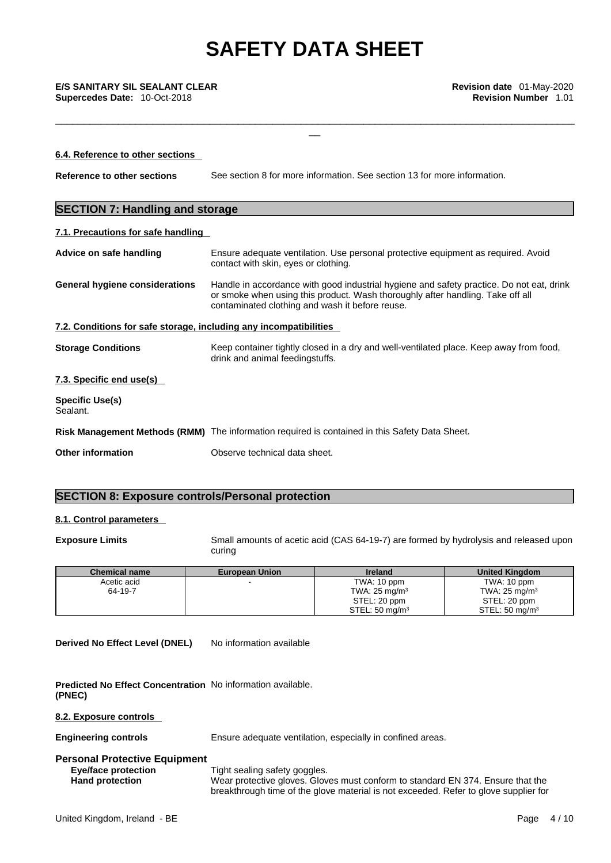\_\_\_\_\_\_\_\_\_\_\_\_\_\_\_\_\_\_\_\_\_\_\_\_\_\_\_\_\_\_\_\_\_\_\_\_\_\_\_\_\_\_\_\_\_\_\_\_\_\_\_\_\_\_\_\_\_\_\_\_\_\_\_\_\_\_\_\_\_\_\_\_\_\_\_\_\_\_\_\_\_\_\_\_\_\_\_\_\_\_\_

\_\_ **E/S SANITARY SIL SEALANT CLEAR Revision date** 01-May-2020 **Supercedes Date:** 10-Oct-2018 **Revision Number** 1.01

| 6.4. Reference to other sections                                  |                                                                                                                                                                                                                               |
|-------------------------------------------------------------------|-------------------------------------------------------------------------------------------------------------------------------------------------------------------------------------------------------------------------------|
| Reference to other sections                                       | See section 8 for more information. See section 13 for more information.                                                                                                                                                      |
| <b>SECTION 7: Handling and storage</b>                            |                                                                                                                                                                                                                               |
| 7.1. Precautions for safe handling                                |                                                                                                                                                                                                                               |
| Advice on safe handling                                           | Ensure adequate ventilation. Use personal protective equipment as required. Avoid<br>contact with skin, eyes or clothing.                                                                                                     |
| General hygiene considerations                                    | Handle in accordance with good industrial hygiene and safety practice. Do not eat, drink<br>or smoke when using this product. Wash thoroughly after handling. Take off all<br>contaminated clothing and wash it before reuse. |
| 7.2. Conditions for safe storage, including any incompatibilities |                                                                                                                                                                                                                               |
| <b>Storage Conditions</b>                                         | Keep container tightly closed in a dry and well-ventilated place. Keep away from food,<br>drink and animal feedingstuffs.                                                                                                     |
| 7.3. Specific end use(s)                                          |                                                                                                                                                                                                                               |
| <b>Specific Use(s)</b><br>Sealant.                                |                                                                                                                                                                                                                               |
|                                                                   | Risk Management Methods (RMM) The information required is contained in this Safety Data Sheet.                                                                                                                                |
| <b>Other information</b>                                          | Observe technical data sheet.                                                                                                                                                                                                 |
|                                                                   |                                                                                                                                                                                                                               |

## **SECTION 8: Exposure controls/Personal protection**

## **8.1. Control parameters**

**Exposure Limits** Small amounts of acetic acid (CAS 64-19-7) are formed by hydrolysis and released upon curing

| <b>Chemical name</b> | <b>European Union</b> | <b>Ireland</b>           | <b>United Kingdom</b>      |
|----------------------|-----------------------|--------------------------|----------------------------|
| Acetic acid          |                       | TWA: 10 ppm              | TWA: 10 ppm                |
| 64-19-7              |                       | TWA: $25 \text{ mg/m}^3$ | TWA: $25 \text{ mg/m}^3$   |
|                      |                       | STEL: 20 ppm             | STEL: 20 ppm               |
|                      |                       | STEL: 50 mg/m $3$        | STEL: 50 mg/m <sup>3</sup> |

**Derived No Effect Level (DNEL)** No information available

**Predicted No Effect Concentration** No information available. **(PNEC)** 

**8.2. Exposure controls** 

**Engineering controls** Ensure adequate ventilation, especially in confined areas.

## **Personal Protective Equipment**

**Eye/face protection**<br> **Hand protection**<br>
Wear protective gloves. Glov Wear protective gloves. Gloves must conform to standard EN 374. Ensure that the breakthrough time of the glove material is not exceeded. Refer to glove supplier for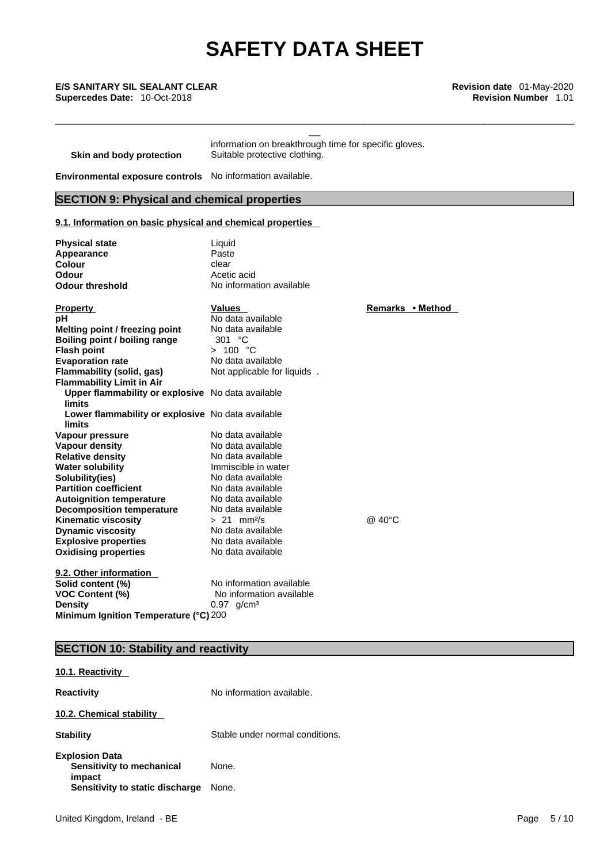\_\_\_\_\_\_\_\_\_\_\_\_\_\_\_\_\_\_\_\_\_\_\_\_\_\_\_\_\_\_\_\_\_\_\_\_\_\_\_\_\_\_\_\_\_\_\_\_\_\_\_\_\_\_\_\_\_\_\_\_\_\_\_\_\_\_\_\_\_\_\_\_\_\_\_\_\_\_\_\_\_\_\_\_\_\_\_\_\_\_\_

\_\_ **E/S SANITARY SIL SEALANT CLEAR Revision date** 01-May-2020 **Supercedes Date:** 10-Oct-2018 **Revision Number** 1.01

| Skin and body protection | information on breakthrough time for specific gloves.<br>Suitable protective clothing. |
|--------------------------|----------------------------------------------------------------------------------------|
|--------------------------|----------------------------------------------------------------------------------------|

**Environmental exposure controls** No information available.

## **SECTION 9: Physical and chemical properties**

## **9.1. Information on basic physical and chemical properties**

| <b>Physical state</b><br>Appearance<br><b>Colour</b><br>Odour<br><b>Odour threshold</b>                                                                                                                                                                                                                                                                                                                                                                                                                         | Liquid<br>Paste<br>clear<br>Acetic acid<br>No information available                                                                                                                                                                                                |                  |
|-----------------------------------------------------------------------------------------------------------------------------------------------------------------------------------------------------------------------------------------------------------------------------------------------------------------------------------------------------------------------------------------------------------------------------------------------------------------------------------------------------------------|--------------------------------------------------------------------------------------------------------------------------------------------------------------------------------------------------------------------------------------------------------------------|------------------|
| <b>Property</b><br>рH<br>Melting point / freezing point<br>Boiling point / boiling range<br><b>Flash point</b><br><b>Evaporation rate</b><br><b>Flammability (solid, gas)</b><br><b>Flammability Limit in Air</b>                                                                                                                                                                                                                                                                                               | <b>Values</b><br>No data available<br>No data available<br>301 $°C$<br>> 100 °C<br>No data available<br>Not applicable for liquids.                                                                                                                                | Remarks • Method |
| Upper flammability or explosive No data available<br>limits<br>Lower flammability or explosive No data available<br><b>limits</b><br>Vapour pressure<br><b>Vapour density</b><br><b>Relative density</b><br><b>Water solubility</b><br>Solubility(ies)<br><b>Partition coefficient</b><br><b>Autoignition temperature</b><br><b>Decomposition temperature</b><br><b>Kinematic viscosity</b><br><b>Dynamic viscosity</b><br><b>Explosive properties</b><br><b>Oxidising properties</b><br>9.2. Other information | No data available<br>No data available<br>No data available<br>Immiscible in water<br>No data available<br>No data available<br>No data available<br>No data available<br>$> 21$ mm <sup>2</sup> /s<br>No data available<br>No data available<br>No data available | @ 40°C           |
| Solid content (%)<br><b>VOC Content (%)</b><br><b>Density</b><br>Minimum Ignition Temperature (°C) 200                                                                                                                                                                                                                                                                                                                                                                                                          | No information available<br>No information available<br>$0.97$ g/cm <sup>3</sup>                                                                                                                                                                                   |                  |

## **SECTION 10: Stability and reactivity**

## **10.1. Reactivity**

| <b>Reactivity</b>                                                                               | No information available.       |
|-------------------------------------------------------------------------------------------------|---------------------------------|
| 10.2. Chemical stability                                                                        |                                 |
| <b>Stability</b>                                                                                | Stable under normal conditions. |
| <b>Explosion Data</b><br>Sensitivity to mechanical<br>impact<br>Sensitivity to static discharge | None.<br>None.                  |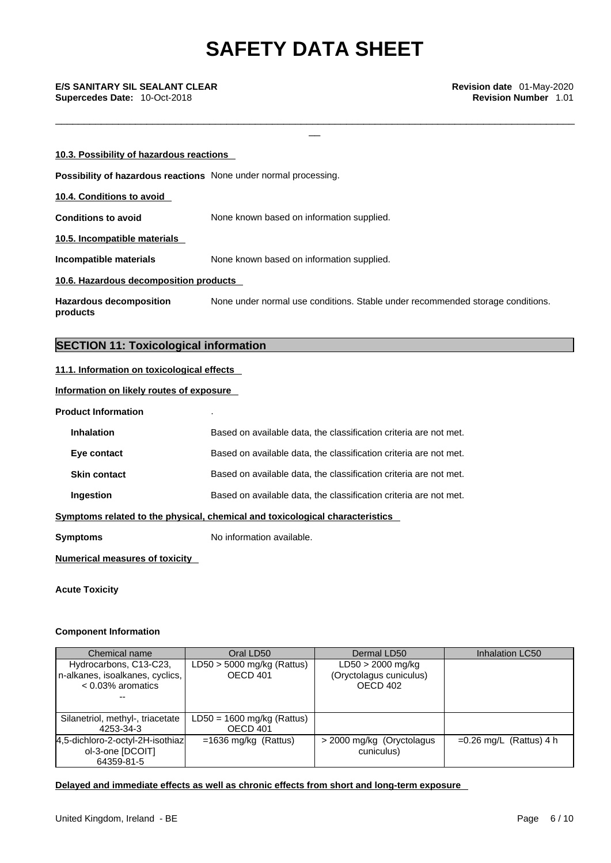\_\_\_\_\_\_\_\_\_\_\_\_\_\_\_\_\_\_\_\_\_\_\_\_\_\_\_\_\_\_\_\_\_\_\_\_\_\_\_\_\_\_\_\_\_\_\_\_\_\_\_\_\_\_\_\_\_\_\_\_\_\_\_\_\_\_\_\_\_\_\_\_\_\_\_\_\_\_\_\_\_\_\_\_\_\_\_\_\_\_\_

\_\_ **E/S SANITARY SIL SEALANT CLEAR Revision date** 01-May-2020 **Supercedes Date:** 10-Oct-2018 **Revision Number** 1.01

| 10.3. Possibility of hazardous reactions                         |                                                                                |
|------------------------------------------------------------------|--------------------------------------------------------------------------------|
| Possibility of hazardous reactions None under normal processing. |                                                                                |
| 10.4. Conditions to avoid                                        |                                                                                |
| <b>Conditions to avoid</b>                                       | None known based on information supplied.                                      |
| 10.5. Incompatible materials                                     |                                                                                |
| Incompatible materials                                           | None known based on information supplied.                                      |
| 10.6. Hazardous decomposition products                           |                                                                                |
| <b>Hazardous decomposition</b><br>products                       | None under normal use conditions. Stable under recommended storage conditions. |

## **SECTION 11: Toxicological information**

## **11.1. Information on toxicological effects**

## **Information on likely routes of exposure**

**Product Information** .

| <b>Inhalation</b>   | Based on available data, the classification criteria are not met.            |
|---------------------|------------------------------------------------------------------------------|
| Eye contact         | Based on available data, the classification criteria are not met.            |
| <b>Skin contact</b> | Based on available data, the classification criteria are not met.            |
| Ingestion           | Based on available data, the classification criteria are not met.            |
|                     | Symptoms related to the physical, chemical and toxicological characteristics |
| Symptoms            | No information available.                                                    |
|                     |                                                                              |

**Numerical measures of toxicity**

**Acute Toxicity** 

## **Component Information**

| Chemical name                    | Oral LD50                    | Dermal LD50                | Inhalation LC50           |
|----------------------------------|------------------------------|----------------------------|---------------------------|
| Hydrocarbons, C13-C23,           | $LD50 > 5000$ mg/kg (Rattus) | $LD50 > 2000$ mg/kg        |                           |
| n-alkanes, isoalkanes, cyclics,  | OECD 401                     | (Oryctolagus cuniculus)    |                           |
| $< 0.03\%$ aromatics             |                              | OECD 402                   |                           |
|                                  |                              |                            |                           |
|                                  |                              |                            |                           |
| Silanetriol, methyl-, triacetate | $LD50 = 1600$ mg/kg (Rattus) |                            |                           |
| 4253-34-3                        | OECD 401                     |                            |                           |
| 4,5-dichloro-2-octyl-2H-isothiaz | $=1636$ mg/kg (Rattus)       | > 2000 mg/kg (Oryctolagus) | $=0.26$ mg/L (Rattus) 4 h |
| ol-3-one [DCOIT]                 |                              | cuniculus)                 |                           |
| 64359-81-5                       |                              |                            |                           |

## **Delayed and immediate effects as well as chronic effects from short and long-term exposure**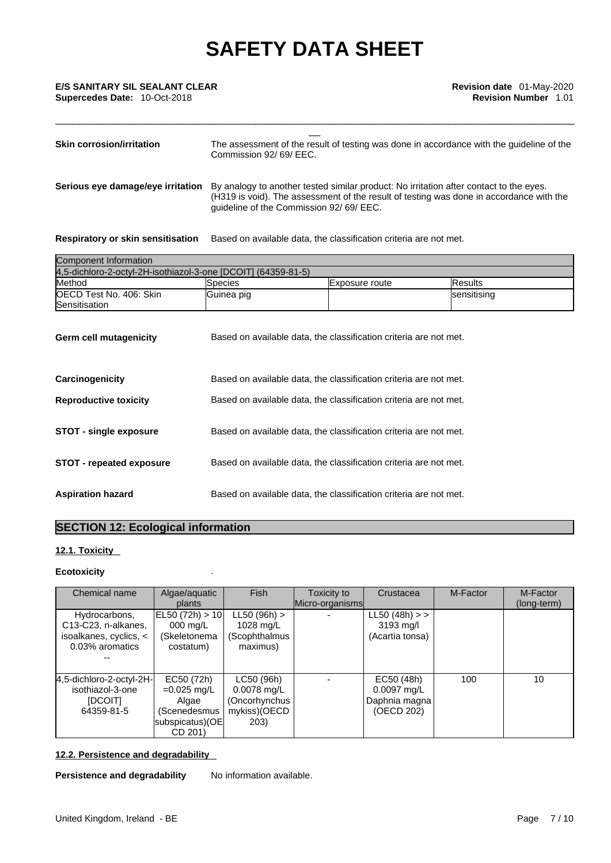| <b>Skin corrosion/irritation</b>  | The assessment of the result of testing was done in accordance with the guideline of the<br>Commission 92/69/EEC.                                                                                                           |
|-----------------------------------|-----------------------------------------------------------------------------------------------------------------------------------------------------------------------------------------------------------------------------|
| Serious eye damage/eye irritation | By analogy to another tested similar product: No irritation after contact to the eyes.<br>(H319 is void). The assessment of the result of testing was done in accordance with the<br>guideline of the Commission 92/69/EEC. |

\_\_\_\_\_\_\_\_\_\_\_\_\_\_\_\_\_\_\_\_\_\_\_\_\_\_\_\_\_\_\_\_\_\_\_\_\_\_\_\_\_\_\_\_\_\_\_\_\_\_\_\_\_\_\_\_\_\_\_\_\_\_\_\_\_\_\_\_\_\_\_\_\_\_\_\_\_\_\_\_\_\_\_\_\_\_\_\_\_\_\_

## **Respiratory or skin sensitisation** Based on available data, the classification criteria are not met.

| Component Information                                         |                |                |             |  |
|---------------------------------------------------------------|----------------|----------------|-------------|--|
| 4,5-dichloro-2-octyl-2H-isothiazol-3-one [DCOIT] (64359-81-5) |                |                |             |  |
| Method                                                        | <b>Species</b> | Exposure route | IResults    |  |
| <b>OECD Test No. 406: Skin</b>                                | Guinea pig     |                | sensitising |  |
| Sensitisation                                                 |                |                |             |  |

| Germ cell mutagenicity          | Based on available data, the classification criteria are not met. |
|---------------------------------|-------------------------------------------------------------------|
| Carcinogenicity                 | Based on available data, the classification criteria are not met. |
| <b>Reproductive toxicity</b>    | Based on available data, the classification criteria are not met. |
| <b>STOT - single exposure</b>   | Based on available data, the classification criteria are not met. |
| <b>STOT - repeated exposure</b> | Based on available data, the classification criteria are not met. |
| <b>Aspiration hazard</b>        | Based on available data, the classification criteria are not met. |

## **SECTION 12: Ecological information**

## **12.1. Toxicity**

## **Ecotoxicity** .

| Chemical name                                                                                               | Algae/aquatic<br>plants                                                            | Fish                                                                 | Toxicity to<br>Micro-organisms | Crustacea                                                  | M-Factor | M-Factor<br>(long-term) |
|-------------------------------------------------------------------------------------------------------------|------------------------------------------------------------------------------------|----------------------------------------------------------------------|--------------------------------|------------------------------------------------------------|----------|-------------------------|
| Hydrocarbons,<br>C <sub>13</sub> -C <sub>23</sub> , n-alkanes,<br>isoalkanes, cyclics, <<br>0.03% aromatics | EL50 (72h) > 10<br>$000 \text{ ma/L}$<br>(Skeletonema<br>costatum)                 | LL50 (96h) ><br>1028 mg/L<br>(Scophthalmus<br>maximus)               |                                | LL50 (48h) > ><br>3193 mg/l<br>(Acartia tonsa)             |          |                         |
| 4,5-dichloro-2-octyl-2H-<br>isothiazol-3-one<br><b>IDCOITI</b><br>64359-81-5                                | EC50 (72h)<br>$=0.025$ mg/L<br>Algae<br>(Scenedesmus<br>subspicatus)(OE<br>CD 201) | LC50 (96h)<br>$0.0078$ mg/L<br>(Oncorhynchus<br>mykiss)(OECD<br>203) |                                | EC50 (48h)<br>$0.0097$ mg/L<br>Daphnia magna<br>(OECD 202) | 100      | 10                      |

## **12.2. Persistence and degradability**

**Persistence and degradability** No information available.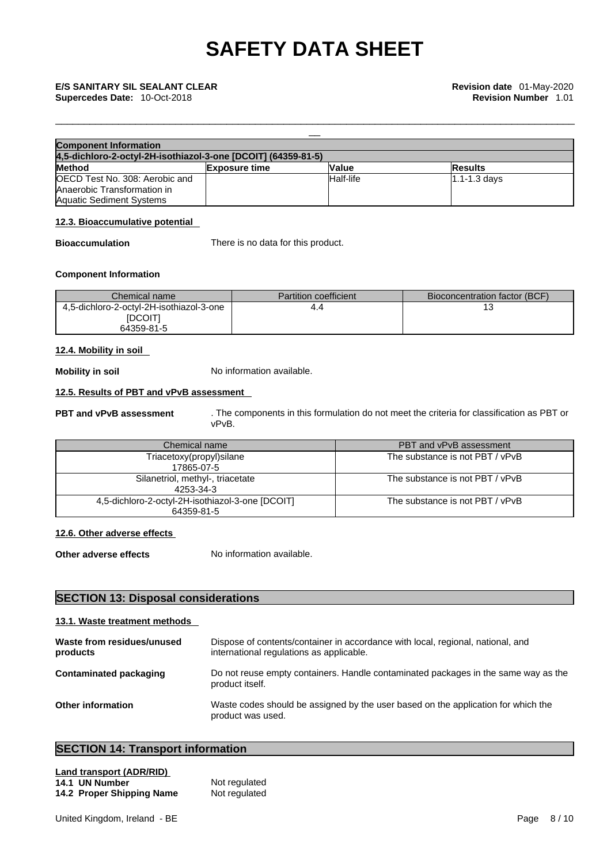| <b>Component Information</b>                                  |                      |              |                   |  |
|---------------------------------------------------------------|----------------------|--------------|-------------------|--|
| 4,5-dichloro-2-octyl-2H-isothiazol-3-one [DCOIT] (64359-81-5) |                      |              |                   |  |
| <b>Method</b>                                                 | <b>Exposure time</b> | <b>Value</b> | <b>Results</b>    |  |
| <b>IOECD Test No. 308: Aerobic and</b>                        |                      | Half-life    | $11.1 - 1.3$ davs |  |
| Anaerobic Transformation in                                   |                      |              |                   |  |
| <b>Aquatic Sediment Systems</b>                               |                      |              |                   |  |

\_\_\_\_\_\_\_\_\_\_\_\_\_\_\_\_\_\_\_\_\_\_\_\_\_\_\_\_\_\_\_\_\_\_\_\_\_\_\_\_\_\_\_\_\_\_\_\_\_\_\_\_\_\_\_\_\_\_\_\_\_\_\_\_\_\_\_\_\_\_\_\_\_\_\_\_\_\_\_\_\_\_\_\_\_\_\_\_\_\_\_

## **12.3. Bioaccumulative potential**

**Bioaccumulation** There is no data for this product.

## **Component Information**

| Chemical name                                                     | <b>Partition coefficient</b> | Bioconcentration factor (BCF) |
|-------------------------------------------------------------------|------------------------------|-------------------------------|
| 4,5-dichloro-2-octyl-2H-isothiazol-3-one<br>[DCOIT]<br>64359-81-5 | 4.4                          |                               |

## **12.4. Mobility in soil**

**Mobility in soil** No information available.

## **12.5. Results of PBT and vPvB assessment**

**PBT and vPvB assessment** . The components in this formulation do not meet the criteria for classification as PBT or vPvB.

| Chemical name                                                  | PBT and vPvB assessment         |
|----------------------------------------------------------------|---------------------------------|
| Triacetoxy(propyl)silane<br>17865-07-5                         | The substance is not PBT / vPvB |
| Silanetriol, methyl-, triacetate<br>4253-34-3                  | The substance is not PBT / vPvB |
| 4,5-dichloro-2-octyl-2H-isothiazol-3-one [DCOIT]<br>64359-81-5 | The substance is not PBT / vPvB |

## **12.6. Other adverse effects**

**Other adverse effects** No information available.

## **SECTION 13: Disposal considerations**

## **13.1. Waste treatment methods**

| Waste from residues/unused<br>products | Dispose of contents/container in accordance with local, regional, national, and<br>international regulations as applicable. |
|----------------------------------------|-----------------------------------------------------------------------------------------------------------------------------|
| Contaminated packaging                 | Do not reuse empty containers. Handle contaminated packages in the same way as the<br>product itself.                       |
| <b>Other information</b>               | Waste codes should be assigned by the user based on the application for which the<br>product was used.                      |

## **SECTION 14: Transport information**

| Land transport (ADR/RID)  |               |  |
|---------------------------|---------------|--|
| 14.1 UN Number            | Not regulated |  |
| 14.2 Proper Shipping Name | Not regulated |  |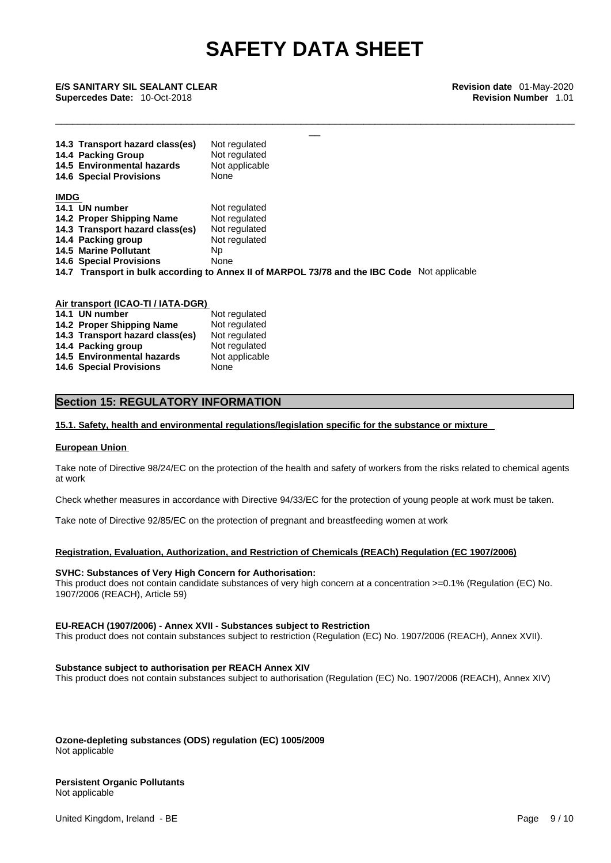\_\_\_\_\_\_\_\_\_\_\_\_\_\_\_\_\_\_\_\_\_\_\_\_\_\_\_\_\_\_\_\_\_\_\_\_\_\_\_\_\_\_\_\_\_\_\_\_\_\_\_\_\_\_\_\_\_\_\_\_\_\_\_\_\_\_\_\_\_\_\_\_\_\_\_\_\_\_\_\_\_\_\_\_\_\_\_\_\_\_\_

\_\_ **E/S SANITARY SIL SEALANT CLEAR Revision date** 01-May-2020 **Supercedes Date:** 10-Oct-2018 **Revision Number** 1.01

|             | 14.3 Transport hazard class(es)<br>14.4 Packing Group<br>14.5 Environmental hazards<br><b>14.6 Special Provisions</b> | Not regulated<br>Not regulated<br>Not applicable<br>None |  |  |
|-------------|-----------------------------------------------------------------------------------------------------------------------|----------------------------------------------------------|--|--|
| <b>IMDG</b> |                                                                                                                       |                                                          |  |  |
|             | 14.1 UN number                                                                                                        | Not regulated                                            |  |  |
|             | 14.2 Proper Shipping Name                                                                                             | Not regulated                                            |  |  |
|             | 14.3 Transport hazard class(es)                                                                                       | Not regulated                                            |  |  |
|             | 14.4 Packing group                                                                                                    | Not regulated                                            |  |  |
|             | <b>14.5 Marine Pollutant</b>                                                                                          | Np.                                                      |  |  |
|             | <b>14.6 Special Provisions</b>                                                                                        | None                                                     |  |  |
|             | 14.7 Transport in bulk according to Annex II of MARPOL 73/78 and the IBC Code Not applicable                          |                                                          |  |  |

**Air transport (ICAO-TI / IATA-DGR) 14.1 UN number**  Not regulated **14.2 Proper Shipping Name** Not regulated **14.3 Transport hazard class(es)** Not regulated **14.3 Transport hazard class(es) 14.4 Packing group Mot regulated** 14.5 **Environmental hazards** Not applicable **14.6 Special Provisions** None

## **Section 15: REGULATORY INFORMATION**

## **15.1. Safety, health and environmental regulations/legislation specific for the substance or mixture**

## **European Union**

Take note of Directive 98/24/EC on the protection of the health and safety of workers from the risks related to chemical agents at work

Check whether measures in accordance with Directive 94/33/EC for the protection of young people at work must be taken.

Take note of Directive 92/85/EC on the protection of pregnant and breastfeeding women at work

## **Registration, Evaluation, Authorization, and Restriction of Chemicals (REACh) Regulation (EC 1907/2006)**

### **SVHC: Substances of Very High Concern for Authorisation:**

This product does not contain candidate substances of very high concern at a concentration  $>=0.1\%$  (Regulation (EC) No. 1907/2006 (REACH), Article 59)

### **EU-REACH (1907/2006) - Annex XVII - Substances subject to Restriction**

This product does not contain substances subject to restriction (Regulation (EC) No. 1907/2006 (REACH), Annex XVII).

## **Substance subject to authorisation per REACH Annex XIV**

This product does not contain substances subject to authorisation (Regulation (EC) No. 1907/2006 (REACH), Annex XIV)

**Ozone-depleting substances (ODS) regulation (EC) 1005/2009** Not applicable

## **Persistent Organic Pollutants**

Not applicable

United Kingdom, Ireland - BE **Page 9 / 10** November 2012 12:00 November 2012 12:00 November 2012 12:00 Page 9 / 10